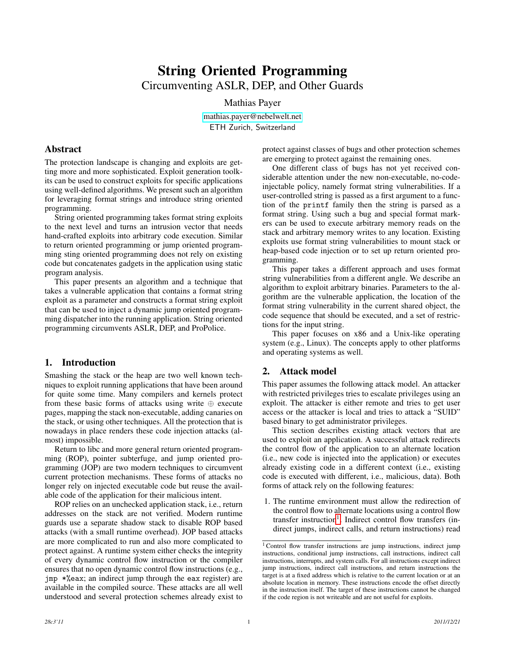# String Oriented Programming Circumventing ASLR, DEP, and Other Guards

Mathias Payer

[mathias.payer@nebelwelt.net](mailto:mathias.payer@nebelwelt.net) ETH Zurich, Switzerland

# Abstract

The protection landscape is changing and exploits are getting more and more sophisticated. Exploit generation toolkits can be used to construct exploits for specific applications using well-defined algorithms. We present such an algorithm for leveraging format strings and introduce string oriented programming.

String oriented programming takes format string exploits to the next level and turns an intrusion vector that needs hand-crafted exploits into arbitrary code execution. Similar to return oriented programming or jump oriented programming sting oriented programming does not rely on existing code but concatenates gadgets in the application using static program analysis.

This paper presents an algorithm and a technique that takes a vulnerable application that contains a format string exploit as a parameter and constructs a format string exploit that can be used to inject a dynamic jump oriented programming dispatcher into the running application. String oriented programming circumvents ASLR, DEP, and ProPolice.

# 1. Introduction

Smashing the stack or the heap are two well known techniques to exploit running applications that have been around for quite some time. Many compilers and kernels protect from these basic forms of attacks using write  $oplus$  execute pages, mapping the stack non-executable, adding canaries on the stack, or using other techniques. All the protection that is nowadays in place renders these code injection attacks (almost) impossible.

Return to libc and more general return oriented programming (ROP), pointer subterfuge, and jump oriented programming (JOP) are two modern techniques to circumvent current protection mechanisms. These forms of attacks no longer rely on injected executable code but reuse the available code of the application for their malicious intent.

ROP relies on an unchecked application stack, i.e., return addresses on the stack are not verified. Modern runtime guards use a separate shadow stack to disable ROP based attacks (with a small runtime overhead). JOP based attacks are more complicated to run and also more complicated to protect against. A runtime system either checks the integrity of every dynamic control flow instruction or the compiler ensures that no open dynamic control flow instructions (e.g., jmp \*%eax; an indirect jump through the eax register) are available in the compiled source. These attacks are all well understood and several protection schemes already exist to protect against classes of bugs and other protection schemes are emerging to protect against the remaining ones.

One different class of bugs has not yet received considerable attention under the new non-executable, no-codeinjectable policy, namely format string vulnerabilities. If a user-controlled string is passed as a first argument to a function of the printf family then the string is parsed as a format string. Using such a bug and special format markers can be used to execute arbitrary memory reads on the stack and arbitrary memory writes to any location. Existing exploits use format string vulnerabilities to mount stack or heap-based code injection or to set up return oriented programming.

This paper takes a different approach and uses format string vulnerabilities from a different angle. We describe an algorithm to exploit arbitrary binaries. Parameters to the algorithm are the vulnerable application, the location of the format string vulnerability in the current shared object, the code sequence that should be executed, and a set of restrictions for the input string.

This paper focuses on x86 and a Unix-like operating system (e.g., Linux). The concepts apply to other platforms and operating systems as well.

# <span id="page-0-1"></span>2. Attack model

This paper assumes the following attack model. An attacker with restricted privileges tries to escalate privileges using an exploit. The attacker is either remote and tries to get user access or the attacker is local and tries to attack a "SUID" based binary to get administrator privileges.

This section describes existing attack vectors that are used to exploit an application. A successful attack redirects the control flow of the application to an alternate location (i.e., new code is injected into the application) or executes already existing code in a different context (i.e., existing code is executed with different, i.e., malicious, data). Both forms of attack rely on the following features:

1. The runtime environment must allow the redirection of the control flow to alternate locations using a control flow transfer instruction<sup>[1](#page-0-0)</sup>. Indirect control flow transfers (indirect jumps, indirect calls, and return instructions) read

<span id="page-0-0"></span><sup>&</sup>lt;sup>1</sup> Control flow transfer instructions are jump instructions, indirect jump instructions, conditional jump instructions, call instructions, indirect call instructions, interrupts, and system calls. For all instructions except indirect jump instructions, indirect call instructions, and return instructions the target is at a fixed address which is relative to the current location or at an absolute location in memory. These instructions encode the offset directly in the instruction itself. The target of these instructions cannot be changed if the code region is not writeable and are not useful for exploits.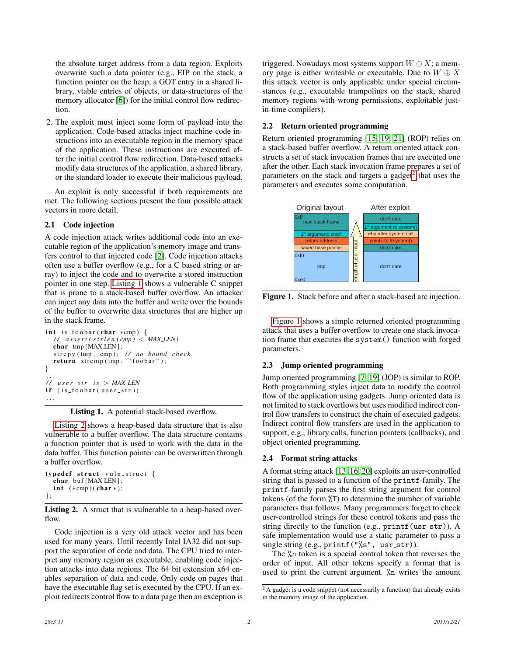the absolute target address from a data region. Exploits overwrite such a data pointer (e.g., EIP on the stack, a function pointer on the heap, a GOT entry in a shared library, vtable entries of objects, or data-structures of the memory allocator [\[6\]](#page-4-0)) for the initial control flow redirection.

2. The exploit must inject some form of payload into the application. Code-based attacks inject machine code instructions into an executable region in the memory space of the application. These instructions are executed after the initial control flow redirection. Data-based attacks modify data structures of the application, a shared library, or the standard loader to execute their malicious payload.

An exploit is only successful if both requirements are met. The following sections present the four possible attack vectors in more detail.

#### <span id="page-1-4"></span>2.1 Code injection

A code injection attack writes additional code into an executable region of the application's memory image and transfers control to that injected code [\[2\]](#page-4-1). Code injection attacks often use a buffer overflow (e.g., for a C based string or array) to inject the code and to overwrite a stored instruction pointer in one step. [Listing 1](#page-1-0) shows a vulnerable C snippet that is prone to a stack-based buffer overflow. An attacker can inject any data into the buffer and write over the bounds of the buffer to overwrite data structures that are higher up in the stack frame.

```
int is foobar (char *cmp) {
  / / a s s e r t ( s t r l e n ( cmp ) < MAX LEN )
  char tmp [MAXLEN];
   strcpy (tmp, cmp); // no bound check
  return \nstrum (tmp, "foobar");}
. . .
\frac{1}{\sqrt{2}} user_str is > MAX_LEN
if ( is_foobar ( user_str ))
. . .
```
Listing 1. A potential stack-based overflow.

[Listing 2](#page-1-1) shows a heap-based data structure that is also vulnerable to a buffer overflow. The data structure contains a function pointer that is used to work with the data in the data buffer. This function pointer can be overwritten through a buffer overflow.

```
typedef struct vuln_struct {
 char buf [MAXLEN];
 int (*cmp)(char*);};
```
Listing 2. A struct that is vulnerable to a heap-based overflow.

Code injection is a very old attack vector and has been used for many years. Until recently Intel IA32 did not support the separation of code and data. The CPU tried to interpret any memory region as executable, enabling code injection attacks into data regions. The 64 bit extension x64 enables separation of data and code. Only code on pages that have the executable flag set is executed by the CPU. If an exploit redirects control flow to a data page then an exception is triggered. Nowadays most systems support  $W \oplus X$ ; a memory page is either writeable or executable. Due to  $W \oplus X$ this attack vector is only applicable under special circumstances (e.g., executable trampolines on the stack, shared memory regions with wrong permissions, exploitable justin-time compilers).

#### <span id="page-1-5"></span>2.2 Return oriented programming

Return oriented programming [\[15,](#page-4-2) [19,](#page-4-3) [21\]](#page-4-4) (ROP) relies on a stack-based buffer overflow. A return oriented attack constructs a set of stack invocation frames that are executed one after the other. Each stack invocation frame prepares a set of parameters on the stack and targets a gadget<sup>[2](#page-1-2)</sup> that uses the parameters and executes some computation.



<span id="page-1-3"></span>Figure 1. Stack before and after a stack-based arc injection.

[Figure 1](#page-1-3) shows a simple returned oriented programming attack that uses a buffer overflow to create one stack invocation frame that executes the system() function with forged parameters.

#### <span id="page-1-6"></span>2.3 Jump oriented programming

Jump oriented programming [\[7,](#page-4-5) [19\]](#page-4-3) (JOP) is similar to ROP. Both programming styles inject data to modify the control flow of the application using gadgets. Jump oriented data is not limited to stack overflows but uses modified indirect control flow transfers to construct the chain of executed gadgets. Indirect control flow transfers are used in the application to support, e.g., library calls, function pointers (callbacks), and object oriented programming.

#### 2.4 Format string attacks

A format string attack [\[13,](#page-4-6) [16,](#page-4-7) [20\]](#page-4-8) exploits an user-controlled string that is passed to a function of the printf-family. The printf-family parses the first string argument for control tokens (of the form %T) to determine the number of variable parameters that follows. Many programmers forget to check user-controlled strings for these control tokens and pass the string directly to the function (e.g.,  $print(usr_str)$ ). A safe implementation would use a static parameter to pass a single string  $(e.g., print f("%s",usr_str)).$ 

The %n token is a special control token that reverses the order of input. All other tokens specify a format that is used to print the current argument. %n writes the amount

<span id="page-1-2"></span><sup>2</sup> A gadget is a code snippet (not necessarily a function) that already exists in the memory image of the application.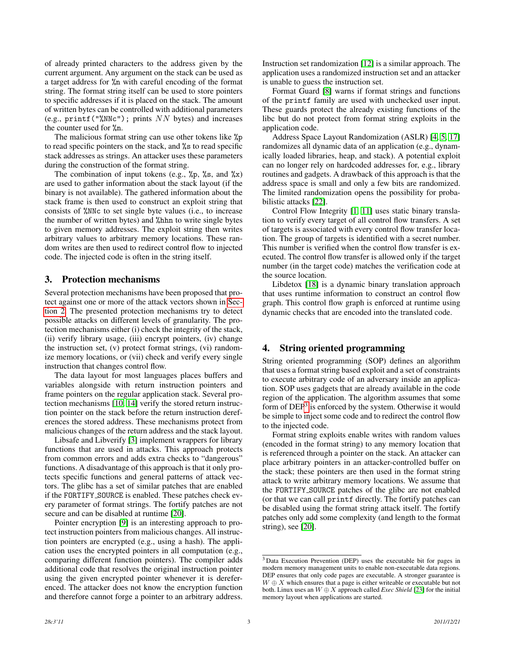of already printed characters to the address given by the current argument. Any argument on the stack can be used as a target address for %n with careful encoding of the format string. The format string itself can be used to store pointers to specific addresses if it is placed on the stack. The amount of written bytes can be controlled with additional parameters (e.g., printf("%NNc"); prints NN bytes) and increases the counter used for %n.

The malicious format string can use other tokens like %p to read specific pointers on the stack, and %s to read specific stack addresses as strings. An attacker uses these parameters during the construction of the format string.

The combination of input tokens (e.g.,  $\chi_p$ ,  $\chi_s$ , and  $\chi_x$ ) are used to gather information about the stack layout (if the binary is not available). The gathered information about the stack frame is then used to construct an exploit string that consists of %NNc to set single byte values (i.e., to increase the number of written bytes) and %hhn to write single bytes to given memory addresses. The exploit string then writes arbitrary values to arbitrary memory locations. These random writes are then used to redirect control flow to injected code. The injected code is often in the string itself.

# 3. Protection mechanisms

Several protection mechanisms have been proposed that protect against one or more of the attack vectors shown in [Sec](#page-0-1)[tion 2.](#page-0-1) The presented protection mechanisms try to detect possible attacks on different levels of granularity. The protection mechanisms either (i) check the integrity of the stack, (ii) verify library usage, (iii) encrypt pointers, (iv) change the instruction set, (v) protect format strings, (vi) randomize memory locations, or (vii) check and verify every single instruction that changes control flow.

The data layout for most languages places buffers and variables alongside with return instruction pointers and frame pointers on the regular application stack. Several protection mechanisms [\[10,](#page-4-9) [14\]](#page-4-10) verify the stored return instruction pointer on the stack before the return instruction dereferences the stored address. These mechanisms protect from malicious changes of the return address and the stack layout.

Libsafe and Libverify [\[3\]](#page-4-11) implement wrappers for library functions that are used in attacks. This approach protects from common errors and adds extra checks to "dangerous" functions. A disadvantage of this approach is that it only protects specific functions and general patterns of attack vectors. The glibc has a set of similar patches that are enabled if the FORTIFY SOURCE is enabled. These patches check every parameter of format strings. The fortify patches are not secure and can be disabled at runtime [\[20\]](#page-4-8).

Pointer encryption [\[9\]](#page-4-12) is an interesting approach to protect instruction pointers from malicious changes. All instruction pointers are encrypted (e.g., using a hash). The application uses the encrypted pointers in all computation (e.g., comparing different function pointers). The compiler adds additional code that resolves the original instruction pointer using the given encrypted pointer whenever it is dereferenced. The attacker does not know the encryption function and therefore cannot forge a pointer to an arbitrary address.

Instruction set randomization [\[12\]](#page-4-13) is a similar approach. The application uses a randomized instruction set and an attacker is unable to guess the instruction set.

Format Guard [\[8\]](#page-4-14) warns if format strings and functions of the printf family are used with unchecked user input. These guards protect the already existing functions of the libc but do not protect from format string exploits in the application code.

Address Space Layout Randomization (ASLR) [\[4,](#page-4-15) [5,](#page-4-16) [17\]](#page-4-17) randomizes all dynamic data of an application (e.g., dynamically loaded libraries, heap, and stack). A potential exploit can no longer rely on hardcoded addresses for, e.g., library routines and gadgets. A drawback of this approach is that the address space is small and only a few bits are randomized. The limited randomization opens the possibility for probabilistic attacks [\[22\]](#page-4-18).

Control Flow Integrity [\[1,](#page-4-19) [11\]](#page-4-20) uses static binary translation to verify every target of all control flow transfers. A set of targets is associated with every control flow transfer location. The group of targets is identified with a secret number. This number is verified when the control flow transfer is executed. The control flow transfer is allowed only if the target number (in the target code) matches the verification code at the source location.

Libdetox [\[18\]](#page-4-21) is a dynamic binary translation approach that uses runtime information to construct an control flow graph. This control flow graph is enforced at runtime using dynamic checks that are encoded into the translated code.

# 4. String oriented programming

String oriented programming (SOP) defines an algorithm that uses a format string based exploit and a set of constraints to execute arbitrary code of an adversary inside an application. SOP uses gadgets that are already available in the code region of the application. The algorithm assumes that some form of DEP<sup>[3](#page-2-0)</sup> is enforced by the system. Otherwise it would be simple to inject some code and to redirect the control flow to the injected code.

Format string exploits enable writes with random values (encoded in the format string) to any memory location that is referenced through a pointer on the stack. An attacker can place arbitrary pointers in an attacker-controlled buffer on the stack; these pointers are then used in the format string attack to write arbitrary memory locations. We assume that the FORTIFY SOURCE patches of the glibc are not enabled (or that we can call printf directly. The fortify patches can be disabled using the format string attack itself. The fortify patches only add some complexity (and length to the format string), see [\[20\]](#page-4-8).

<span id="page-2-0"></span><sup>3</sup> Data Execution Prevention (DEP) uses the executable bit for pages in modern memory management units to enable non-executable data regions. DEP ensures that only code pages are executable. A stronger guarantee is  $W \oplus X$  which ensures that a page is either writeable or executable but not both. Linux uses an W ⊕ X approach called *Exec Shield* [\[23\]](#page-4-22) for the initial memory layout when applications are started.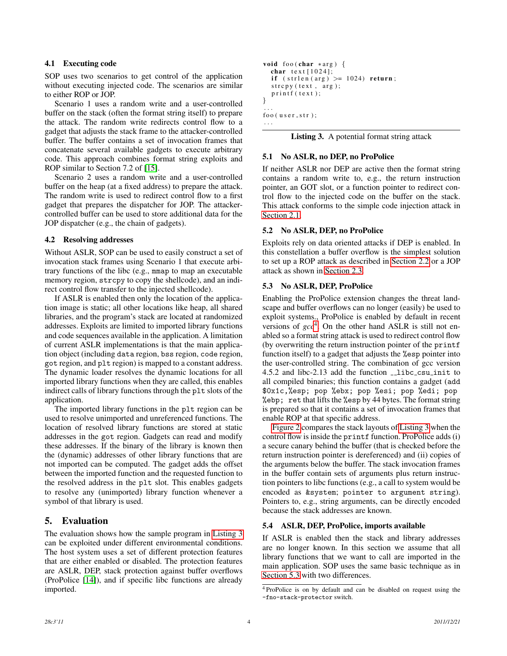### 4.1 Executing code

SOP uses two scenarios to get control of the application without executing injected code. The scenarios are similar to either ROP or JOP.

Scenario 1 uses a random write and a user-controlled buffer on the stack (often the format string itself) to prepare the attack. The random write redirects control flow to a gadget that adjusts the stack frame to the attacker-controlled buffer. The buffer contains a set of invocation frames that concatenate several available gadgets to execute arbitrary code. This approach combines format string exploits and ROP similar to Section 7.2 of [\[15\]](#page-4-2).

Scenario 2 uses a random write and a user-controlled buffer on the heap (at a fixed address) to prepare the attack. The random write is used to redirect control flow to a first gadget that prepares the dispatcher for JOP. The attackercontrolled buffer can be used to store additional data for the JOP dispatcher (e.g., the chain of gadgets).

## <span id="page-3-3"></span>4.2 Resolving addresses

Without ASLR, SOP can be used to easily construct a set of invocation stack frames using Scenario 1 that execute arbitrary functions of the libc (e.g., mmap to map an executable memory region, strcpy to copy the shellcode), and an indirect control flow transfer to the injected shellcode).

If ASLR is enabled then only the location of the application image is static; all other locations like heap, all shared libraries, and the program's stack are located at randomized addresses. Exploits are limited to imported library functions and code sequences available in the application. A limitation of current ASLR implementations is that the main application object (including data region, bss region, code region, got region, and plt region) is mapped to a constant address. The dynamic loader resolves the dynamic locations for all imported library functions when they are called, this enables indirect calls of library functions through the plt slots of the application.

The imported library functions in the plt region can be used to resolve unimported and unreferenced functions. The location of resolved library functions are stored at static addresses in the got region. Gadgets can read and modify these addresses. If the binary of the library is known then the (dynamic) addresses of other library functions that are not imported can be computed. The gadget adds the offset between the imported function and the requested function to the resolved address in the plt slot. This enables gadgets to resolve any (unimported) library function whenever a symbol of that library is used.

# 5. Evaluation

<span id="page-3-0"></span>The evaluation shows how the sample program in [Listing 3](#page-3-0) can be exploited under different environmental conditions. The host system uses a set of different protection features that are either enabled or disabled. The protection features are ASLR, DEP, stack protection against buffer overflows (ProPolice [\[14\]](#page-4-10)), and if specific libc functions are already imported.

```
void foo (char *arg) {
  char text [1024];if (\sin \theta \cdot \sin \theta) > = 1024 return;
  stropy (text, arg);print f (text);}
. . .
foo (user str);. . .
```

|  |  | Listing 3. A potential format string attack |  |
|--|--|---------------------------------------------|--|
|--|--|---------------------------------------------|--|

## 5.1 No ASLR, no DEP, no ProPolice

If neither ASLR nor DEP are active then the format string contains a random write to, e.g., the return instruction pointer, an GOT slot, or a function pointer to redirect control flow to the injected code on the buffer on the stack. This attack conforms to the simple code injection attack in [Section 2.1.](#page-1-4)

## 5.2 No ASLR, DEP, no ProPolice

Exploits rely on data oriented attacks if DEP is enabled. In this constellation a buffer overflow is the simplest solution to set up a ROP attack as described in [Section 2.2](#page-1-5) or a JOP attack as shown in [Section 2.3.](#page-1-6)

## <span id="page-3-2"></span>5.3 No ASLR, DEP, ProPolice

Enabling the ProPolice extension changes the threat landscape and buffer overflows can no longer (easily) be used to exploit systems., ProPolice is enabled by default in recent versions of  $\text{gcc}^4$  $\text{gcc}^4$ . On the other hand ASLR is still not enabled so a format string attack is used to redirect control flow (by overwriting the return instruction pointer of the printf function itself) to a gadget that adjusts the %esp pointer into the user-controlled string. The combination of gcc version 4.5.2 and libc-2.13 add the function \_\_libc\_csu\_init to all compiled binaries; this function contains a gadget (add \$0x1c,%esp; pop %ebx; pop %esi; pop %edi; pop %ebp; ret that lifts the %esp by 44 bytes. The format string is prepared so that it contains a set of invocation frames that enable ROP at that specific address.

[Figure 2](#page-4-23) compares the stack layouts of [Listing 3](#page-3-0) when the control flow is inside the printf function. ProPolice adds (i) a secure canary behind the buffer (that is checked before the return instruction pointer is dereferenced) and (ii) copies of the arguments below the buffer. The stack invocation frames in the buffer contain sets of arguments plus return instruction pointers to libc functions (e.g., a call to system would be encoded as &system; pointer to argument string). Pointers to, e.g., string arguments, can be directly encoded because the stack addresses are known.

### 5.4 ASLR, DEP, ProPolice, imports available

If ASLR is enabled then the stack and library addresses are no longer known. In this section we assume that all library functions that we want to call are imported in the main application. SOP uses the same basic technique as in [Section 5.3](#page-3-2) with two differences.

<span id="page-3-1"></span><sup>4</sup> ProPolice is on by default and can be disabled on request using the -fno-stack-protector switch.